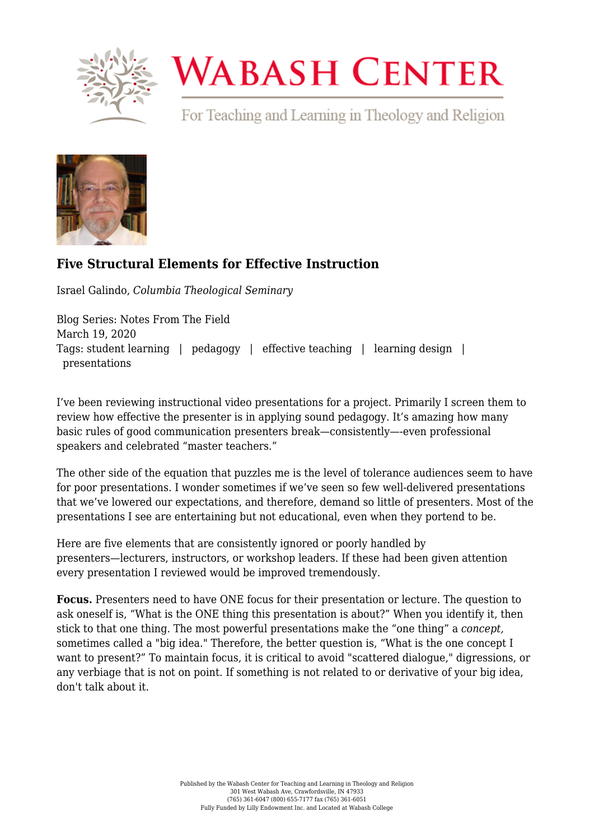

## **WABASH CENTER**

For Teaching and Learning in Theology and Religion



## **[Five Structural Elements for Effective Instruction](https://www.wabashcenter.wabash.edu/2020/03/five-structural-elements-for-effective-instruction/)**

Israel Galindo, *Columbia Theological Seminary*

Blog Series: Notes From The Field March 19, 2020 Tags: student learning | pedagogy | effective teaching | learning design | presentations

I've been reviewing instructional video presentations for a project. Primarily I screen them to review how effective the presenter is in applying sound pedagogy. It's amazing how many basic rules of good communication presenters break—consistently—-even professional speakers and celebrated "master teachers."

The other side of the equation that puzzles me is the level of tolerance audiences seem to have for poor presentations. I wonder sometimes if we've seen so few well-delivered presentations that we've lowered our expectations, and therefore, demand so little of presenters. Most of the presentations I see are entertaining but not educational, even when they portend to be.

Here are five elements that are consistently ignored or poorly handled by presenters—lecturers, instructors, or workshop leaders. If these had been given attention every presentation I reviewed would be improved tremendously.

**Focus.** Presenters need to have ONE focus for their presentation or lecture. The question to ask oneself is, "What is the ONE thing this presentation is about?" When you identify it, then stick to that one thing. The most powerful presentations make the "one thing" a *concept,* sometimes called a "big idea." Therefore, the better question is, "What is the one concept I want to present?" To maintain focus, it is critical to avoid "scattered dialogue," digressions, or any verbiage that is not on point. If something is not related to or derivative of your big idea, don't talk about it.